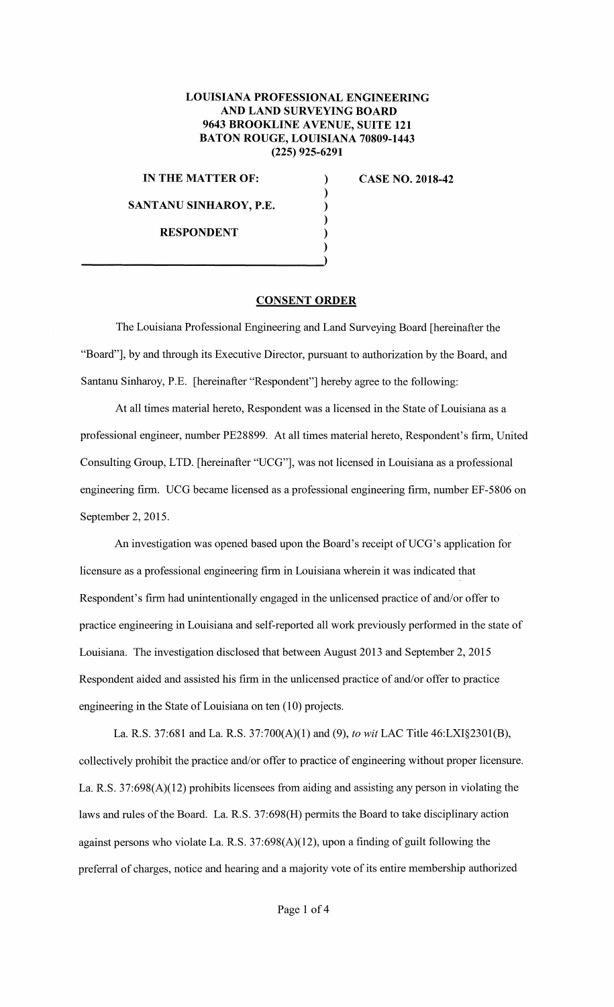## **LOUISIANA PROFESSIONAL ENGINEERING AND LAND SURVEYING BOARD 9643 BROOKLINE AVENUE, SUITE 121 BATON ROUGE, LOUISIANA 70809-1443 (225) 925-6291**

) ) ) ) )

**IN THE MATTER OF:** )

**SANTANO SINHAROY, P.E.** 

**CASE NO. 2018-42** 

**RESPONDENT** 

## **CONSENT ORDER**

The Louisiana Professional Engineering and Land Surveying Board [hereinafter the "Board"], by and through its Executive Director, pursuant to authorization by the Board, and Santanu Sinharoy, P.E. [hereinafter "Respondent"] hereby agree to the following:

At all times material hereto, Respondent was a licensed in the State of Louisiana as a professional engineer, number PE28899. At all times material hereto, Respondent's firm, United Consulting Group, LTD. [hereinafter "UCG"], was not licensed in Louisiana as a professional engineering firm. UCG became licensed as a professional engineering firm, number EF-5806 on September 2, 2015.

An investigation was opened based upon the Board's receipt of UCG's application for licensure as a professional engineering firm in Louisiana wherein it was indicated that Respondent's firm had unintentionally engaged in the unlicensed practice of and/or offer to practice engineering in Louisiana and self-reported all work previously performed in the state of Louisiana. The investigation disclosed that between August 2013 and September 2, 2015 Respondent aided and assisted his firm in the unlicensed practice of and/or offer to practice engineering in the State of Louisiana on ten (10) projects.

La. RS. 37:681 and La. R.S. 37:700(A)(l) and (9), *to wit* LAC Title 46:LXI§2301(B), collectively prohibit the practice and/or offer to practice of engineering without proper licensure. La. R.S.  $37:698(A)(12)$  prohibits licensees from aiding and assisting any person in violating the laws and rules of the Board. La. R.S. 37:698(H) permits the Board to take disciplinary action against persons who violate La. R.S.  $37:698(A)(12)$ , upon a finding of guilt following the preferral of charges, notice and hearing and a majority vote of its entire membership authorized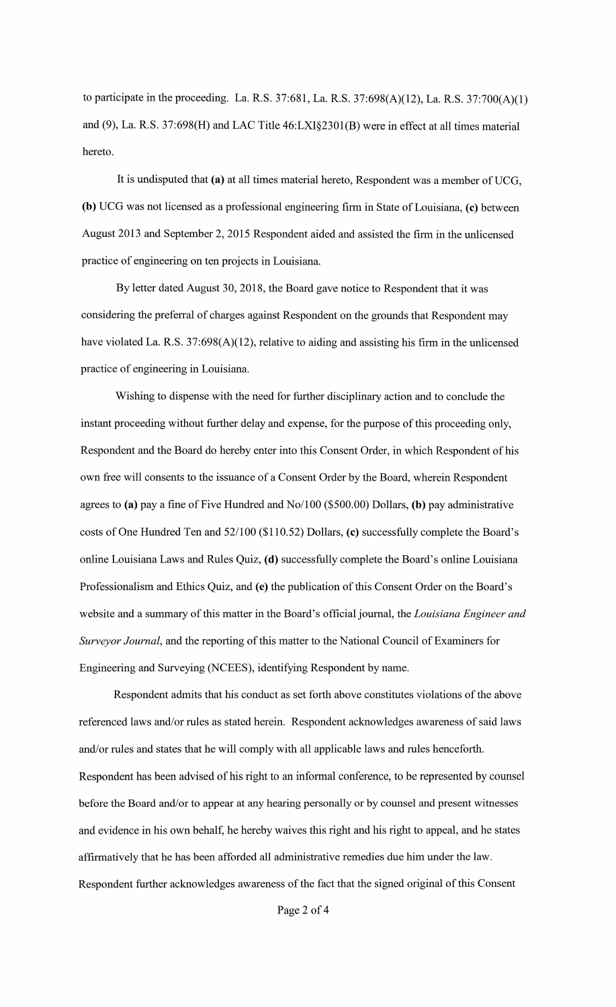to participate in the proceeding. La. R.S. 37:681, La. R.S. 37:698(A)(12), La. R.S. 37:700(A)(l) and (9), La. R.S. 37:698(H) and LAC Title 46:LXI§230l(B) were in effect at all times material hereto.

It is undisputed that (a) at all times material hereto, Respondent was a member of UCG, **(b)** UCG was not licensed as a professional engineering firm in State of Louisiana, **(c)** between August 2013 and September 2, 2015 Respondent aided and assisted the firm in the unlicensed practice of engineering on ten projects in Louisiana.

By letter dated August 30, 2018, the Board gave notice to Respondent that it was considering the preferral of charges against Respondent on the grounds that Respondent may have violated La. R.S. 37:698(A)(12), relative to aiding and assisting his firm in the unlicensed practice of engineering in Louisiana.

Wishing to dispense with the need for further disciplinary action and to conclude the instant proceeding without further delay and expense, for the purpose of this proceeding only, Respondent and the Board do hereby enter into this Consent Order, in which Respondent of his own free will consents to the issuance of a Consent Order by the Board, wherein Respondent agrees to **(a)** pay a fine of Five Hundred and No/100 (\$500.00) Dollars, **(b)** pay administrative costs of One Hundred Ten and 52/100 (\$110.52) Dollars, **(c)** successfully complete the Board's online Louisiana Laws and Rules Quiz, **(d)** successfully complete the Board's online Louisiana Professionalism and Ethics Quiz, and **(e)** the publication of this Consent Order on the Board's website and a summary of this matter in the Board's official journal, the *Louisiana Engineer and Surveyor Journal,* and the reporting of this matter to the National Council of Examiners for Engineering and Surveying (NCEES), identifying Respondent by name.

Respondent admits that his conduct as set forth above constitutes violations of the above referenced laws and/or rules as stated herein. Respondent acknowledges awareness of said laws and/or rules and states that he will comply with all applicable laws and rules henceforth. Respondent has been advised of his right to an informal conference, to be represented by counsel before the Board and/or to appear at any hearing personally or by counsel and present witnesses and evidence in his own behalf, he hereby waives this right and his right to appeal, and he states affirmatively that he has been afforded all administrative remedies due him under the law. Respondent further acknowledges awareness of the fact that the signed original of this Consent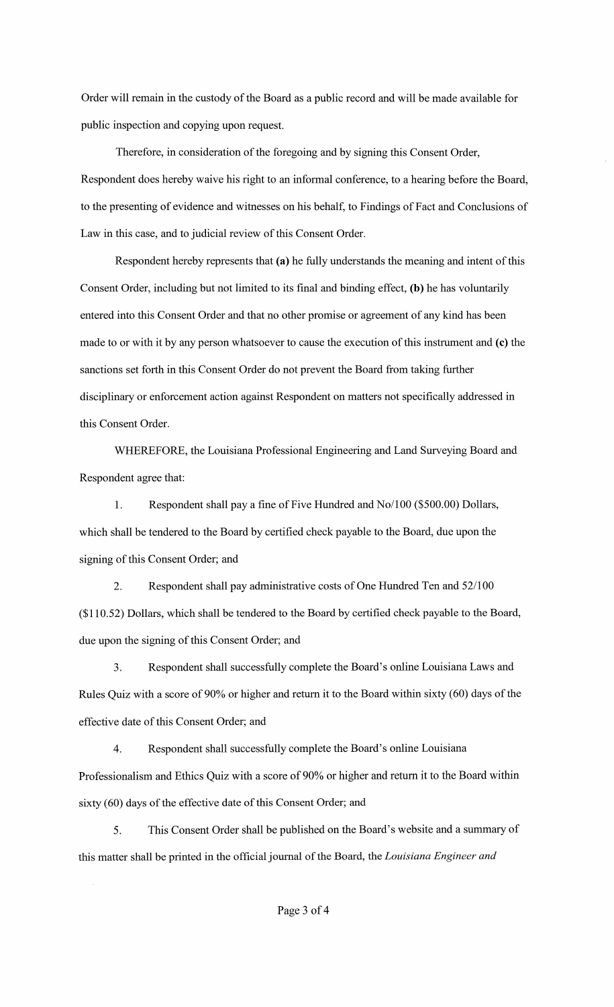Order will remain in the custody of the Board as a public record and will be made available for public inspection and copying upon request.

Therefore, in consideration of the foregoing and by signing this Consent Order, Respondent does hereby waive his right to an informal conference, to a hearing before the Board, to the presenting of evidence and witnesses on his behalf, to Findings of Fact and Conclusions of Law in this case, and to judicial review of this Consent Order.

Respondent hereby represents that **(a)** he fully understands the meaning and intent of this Consent Order, including but not limited to its final and binding effect, **(b)** he has voluntarily entered into this Consent Order and that no other promise or agreement of any kind has been made to or with it by any person whatsoever to cause the execution of this instrument and (c) the sanctions set forth in this Consent Order do not prevent the Board from taking further disciplinary or enforcement action against Respondent on matters not specifically addressed in this Consent Order.

WHEREFORE, the Louisiana Professional Engineering and Land Surveying Board and Respondent agree that:

1. Respondent shall pay a fine of Five Hundred and No/100 (\$500.00) Dollars, which shall be tendered to the Board by certified check payable to the Board, due upon the signing of this Consent Order; and

2. Respondent shall pay administrative costs of One Hundred Ten and 52/100 (\$110.52) Dollars, which shall be tendered to the Board by certified check payable to the Board, due upon the signing of this Consent Order; and

3. Respondent shall successfully complete the Board's online Louisiana Laws and Rules Quiz with a score of 90% or higher and return it to the Board within sixty (60) days of the effective date of this Consent Order; and

4. Respondent shall successfully complete the Board's online Louisiana Professionalism and Ethics Quiz with a score of 90% or higher and return it to the Board within sixty (60) days of the effective date of this Consent Order; and

5. This Consent Order shall be published on the Board's website and a summary of this matter shall be printed in the official journal of the Board, the *Louisiana Engineer and*